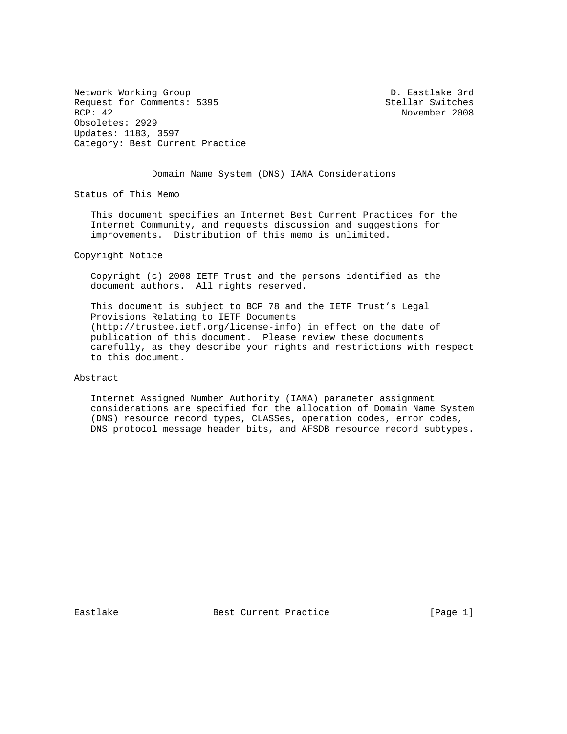Network Working Group and the settlement of the D. Eastlake 3rd Request for Comments: 5395 Stellar Switches<br>BCP: 42 November 2008 Obsoletes: 2929 Updates: 1183, 3597 Category: Best Current Practice

BCP: 42 November 2008

Domain Name System (DNS) IANA Considerations

Status of This Memo

 This document specifies an Internet Best Current Practices for the Internet Community, and requests discussion and suggestions for improvements. Distribution of this memo is unlimited.

Copyright Notice

 Copyright (c) 2008 IETF Trust and the persons identified as the document authors. All rights reserved.

 This document is subject to BCP 78 and the IETF Trust's Legal Provisions Relating to IETF Documents (http://trustee.ietf.org/license-info) in effect on the date of publication of this document. Please review these documents carefully, as they describe your rights and restrictions with respect to this document.

## Abstract

 Internet Assigned Number Authority (IANA) parameter assignment considerations are specified for the allocation of Domain Name System (DNS) resource record types, CLASSes, operation codes, error codes, DNS protocol message header bits, and AFSDB resource record subtypes.

Eastlake Best Current Practice [Page 1]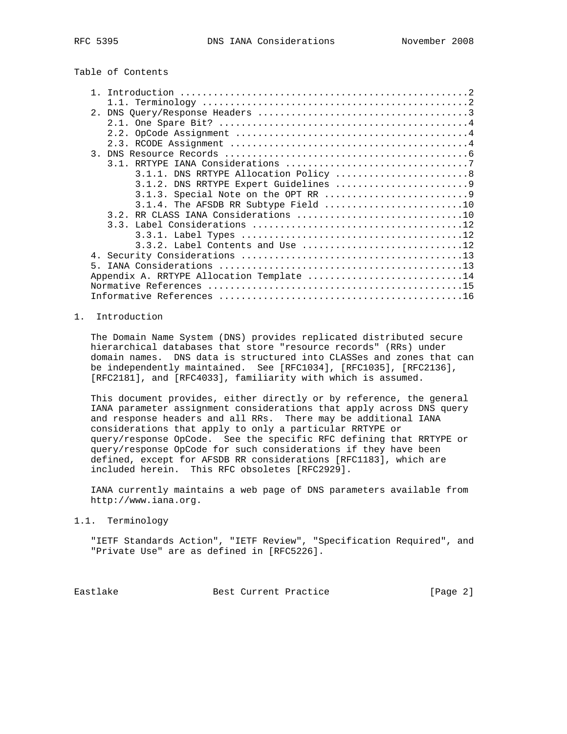# Table of Contents

| 3.1.1. DNS RRTYPE Allocation Policy 8     |  |
|-------------------------------------------|--|
|                                           |  |
|                                           |  |
| 3.1.4. The AFSDB RR Subtype Field 10      |  |
|                                           |  |
|                                           |  |
|                                           |  |
|                                           |  |
|                                           |  |
| 5.                                        |  |
| Appendix A. RRTYPE Allocation Template 14 |  |
|                                           |  |
|                                           |  |

## 1. Introduction

 The Domain Name System (DNS) provides replicated distributed secure hierarchical databases that store "resource records" (RRs) under domain names. DNS data is structured into CLASSes and zones that can be independently maintained. See [RFC1034], [RFC1035], [RFC2136], [RFC2181], and [RFC4033], familiarity with which is assumed.

 This document provides, either directly or by reference, the general IANA parameter assignment considerations that apply across DNS query and response headers and all RRs. There may be additional IANA considerations that apply to only a particular RRTYPE or query/response OpCode. See the specific RFC defining that RRTYPE or query/response OpCode for such considerations if they have been defined, except for AFSDB RR considerations [RFC1183], which are included herein. This RFC obsoletes [RFC2929].

 IANA currently maintains a web page of DNS parameters available from http://www.iana.org.

1.1. Terminology

 "IETF Standards Action", "IETF Review", "Specification Required", and "Private Use" are as defined in [RFC5226].

Eastlake Best Current Practice [Page 2]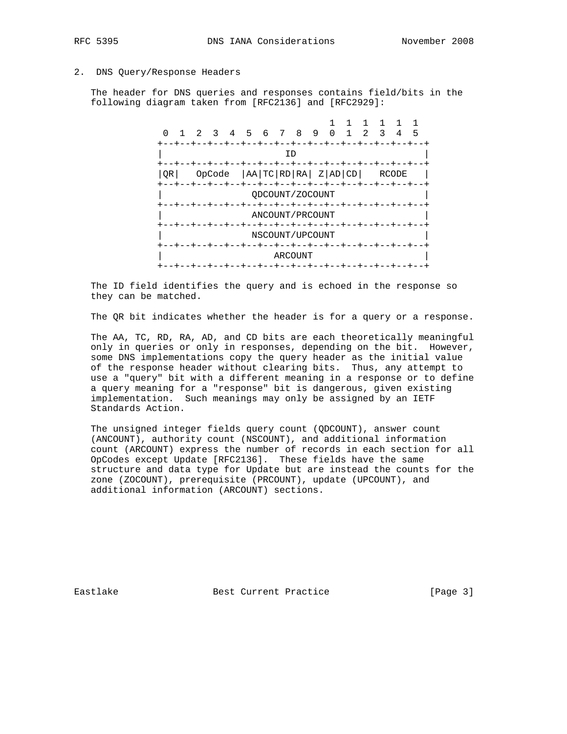### 2. DNS Query/Response Headers

 The header for DNS queries and responses contains field/bits in the following diagram taken from [RFC2136] and [RFC2929]:



 The ID field identifies the query and is echoed in the response so they can be matched.

The QR bit indicates whether the header is for a query or a response.

 The AA, TC, RD, RA, AD, and CD bits are each theoretically meaningful only in queries or only in responses, depending on the bit. However, some DNS implementations copy the query header as the initial value of the response header without clearing bits. Thus, any attempt to use a "query" bit with a different meaning in a response or to define a query meaning for a "response" bit is dangerous, given existing implementation. Such meanings may only be assigned by an IETF Standards Action.

 The unsigned integer fields query count (QDCOUNT), answer count (ANCOUNT), authority count (NSCOUNT), and additional information count (ARCOUNT) express the number of records in each section for all OpCodes except Update [RFC2136]. These fields have the same structure and data type for Update but are instead the counts for the zone (ZOCOUNT), prerequisite (PRCOUNT), update (UPCOUNT), and additional information (ARCOUNT) sections.

Eastlake Best Current Practice [Page 3]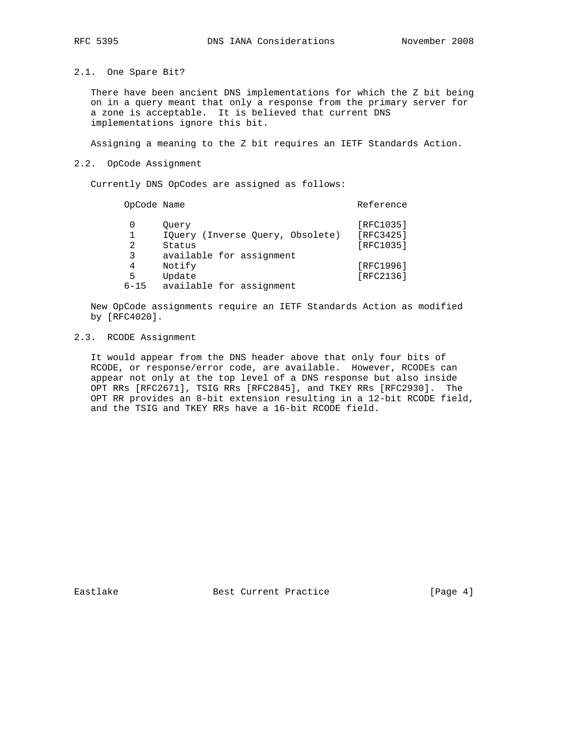2.1. One Spare Bit?

 There have been ancient DNS implementations for which the Z bit being on in a query meant that only a response from the primary server for a zone is acceptable. It is believed that current DNS implementations ignore this bit.

Assigning a meaning to the Z bit requires an IETF Standards Action.

2.2. OpCode Assignment

Currently DNS OpCodes are assigned as follows:

OpCode Name Reference 0 Query [RFC1035] 1 IQuery (Inverse Query, Obsolete) [RFC3425] 2 Status [RFC1035] 3 available for assignment 4 Notify [RFC1996] 5 Update [RFC2136] 6-15 available for assignment

 New OpCode assignments require an IETF Standards Action as modified by [RFC4020].

## 2.3. RCODE Assignment

 It would appear from the DNS header above that only four bits of RCODE, or response/error code, are available. However, RCODEs can appear not only at the top level of a DNS response but also inside OPT RRs [RFC2671], TSIG RRs [RFC2845], and TKEY RRs [RFC2930]. The OPT RR provides an 8-bit extension resulting in a 12-bit RCODE field, and the TSIG and TKEY RRs have a 16-bit RCODE field.

Eastlake Best Current Practice [Page 4]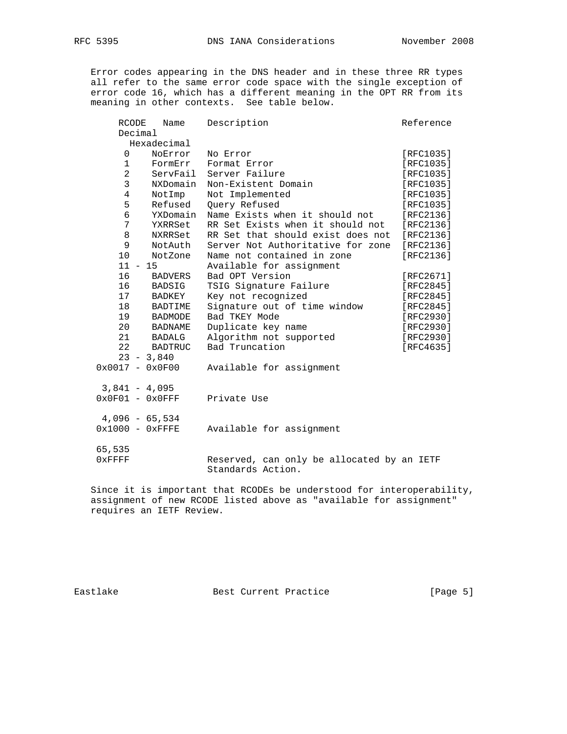Error codes appearing in the DNS header and in these three RR types all refer to the same error code space with the single exception of error code 16, which has a different meaning in the OPT RR from its meaning in other contexts. See table below.

| RCODE                                | Name             | Description                                | Reference |
|--------------------------------------|------------------|--------------------------------------------|-----------|
| Decimal                              |                  |                                            |           |
|                                      | Hexadecimal      |                                            |           |
| $\mathbf{0}$                         | NoError          | No Error                                   | [RFC1035] |
| $\mathbf 1$                          | FormErr          | Format Error                               | [RFC1035] |
| $\overline{a}$                       | ServFail         | Server Failure                             | [RFC1035] |
| $\mathbf{3}$                         | NXDomain         | Non-Existent Domain                        | [RFC1035] |
| $\overline{4}$                       | NotImp           | Not Implemented                            | [RFC1035] |
| 5                                    | Refused          | Query Refused                              | [RFC1035] |
| 6                                    | YXDomain         | Name Exists when it should not             | [RFC2136] |
| 7                                    | YXRRSet          | RR Set Exists when it should not           | [RFC2136] |
| 8                                    | NXRRSet          | RR Set that should exist does not          | [RFC2136] |
| 9                                    | NotAuth          | Server Not Authoritative for zone          | [RFC2136] |
| 10                                   | NotZone          | Name not contained in zone                 | [RFC2136] |
| $11 - 15$                            |                  | Available for assignment                   |           |
| 16                                   | <b>BADVERS</b>   | Bad OPT Version                            | [RFC2671] |
| 16                                   | <b>BADSIG</b>    | TSIG Signature Failure                     | [RFC2845] |
| 17                                   | BADKEY           | Key not recognized                         | [RFC2845] |
| 18                                   | BADTIME          | Signature out of time window               | [RFC2845] |
|                                      | 19 BADMODE       | Bad TKEY Mode                              | [RFC2930] |
|                                      | 20 BADNAME       | Duplicate key name                         | [RFC2930] |
|                                      | 21 BADALG        | Algorithm not supported                    | [RFC2930] |
| 22                                   | <b>BADTRUC</b>   | Bad Truncation                             | [RFC4635] |
|                                      | $23 - 3,840$     |                                            |           |
| $0x0017 - 0x0F00$                    |                  | Available for assignment                   |           |
|                                      |                  |                                            |           |
| $3,841 - 4,095$                      |                  |                                            |           |
| $0 \times 0$ F $01 - 0 \times 0$ FFF |                  | Private Use                                |           |
|                                      | $4,096 - 65,534$ |                                            |           |
| $0x1000 - 0xFFFF$                    |                  | Available for assignment                   |           |
|                                      |                  |                                            |           |
| 65,535                               |                  |                                            |           |
| $0x$ FFFF                            |                  | Reserved, can only be allocated by an IETF |           |
|                                      |                  | Standards Action.                          |           |
|                                      |                  |                                            |           |

 Since it is important that RCODEs be understood for interoperability, assignment of new RCODE listed above as "available for assignment" requires an IETF Review.

Eastlake Best Current Practice [Page 5]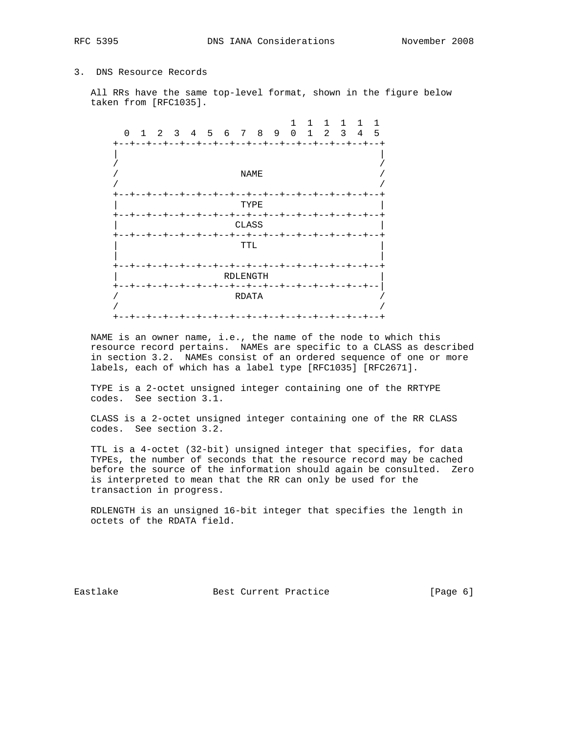## 3. DNS Resource Records

 All RRs have the same top-level format, shown in the figure below taken from [RFC1035].



 NAME is an owner name, i.e., the name of the node to which this resource record pertains. NAMEs are specific to a CLASS as described in section 3.2. NAMEs consist of an ordered sequence of one or more labels, each of which has a label type [RFC1035] [RFC2671].

 TYPE is a 2-octet unsigned integer containing one of the RRTYPE codes. See section 3.1.

 CLASS is a 2-octet unsigned integer containing one of the RR CLASS codes. See section 3.2.

 TTL is a 4-octet (32-bit) unsigned integer that specifies, for data TYPEs, the number of seconds that the resource record may be cached before the source of the information should again be consulted. Zero is interpreted to mean that the RR can only be used for the transaction in progress.

 RDLENGTH is an unsigned 16-bit integer that specifies the length in octets of the RDATA field.

Eastlake Best Current Practice [Page 6]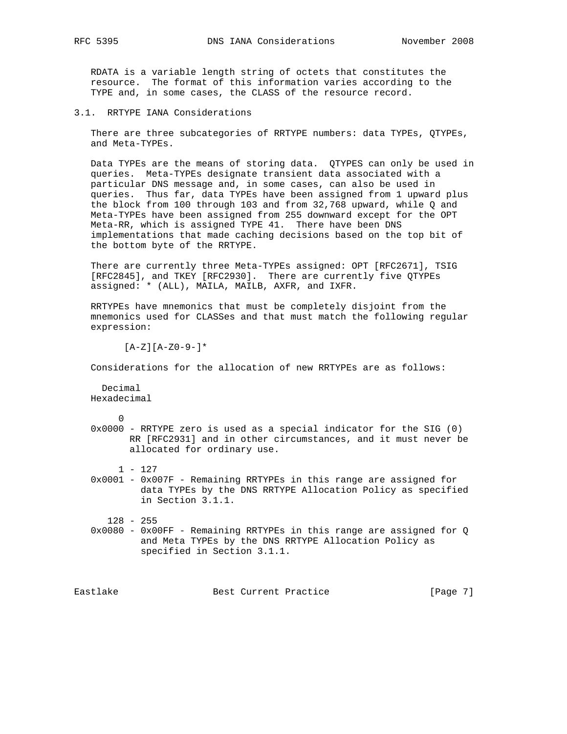RDATA is a variable length string of octets that constitutes the resource. The format of this information varies according to the TYPE and, in some cases, the CLASS of the resource record.

3.1. RRTYPE IANA Considerations

 There are three subcategories of RRTYPE numbers: data TYPEs, QTYPEs, and Meta-TYPEs.

 Data TYPEs are the means of storing data. QTYPES can only be used in queries. Meta-TYPEs designate transient data associated with a particular DNS message and, in some cases, can also be used in queries. Thus far, data TYPEs have been assigned from 1 upward plus the block from 100 through 103 and from 32,768 upward, while Q and Meta-TYPEs have been assigned from 255 downward except for the OPT Meta-RR, which is assigned TYPE 41. There have been DNS implementations that made caching decisions based on the top bit of the bottom byte of the RRTYPE.

 There are currently three Meta-TYPEs assigned: OPT [RFC2671], TSIG [RFC2845], and TKEY [RFC2930]. There are currently five QTYPEs assigned: \* (ALL), MAILA, MAILB, AXFR, and IXFR.

 RRTYPEs have mnemonics that must be completely disjoint from the mnemonics used for CLASSes and that must match the following regular expression:

 $[A-Z][A-Z0-9-]*$ 

Considerations for the allocation of new RRTYPEs are as follows:

 Decimal Hexadecimal

 0 0x0000 - RRTYPE zero is used as a special indicator for the SIG (0) RR [RFC2931] and in other circumstances, and it must never be allocated for ordinary use.

1 - 127

 0x0001 - 0x007F - Remaining RRTYPEs in this range are assigned for data TYPEs by the DNS RRTYPE Allocation Policy as specified in Section 3.1.1.

128 - 255

 0x0080 - 0x00FF - Remaining RRTYPEs in this range are assigned for Q and Meta TYPEs by the DNS RRTYPE Allocation Policy as specified in Section 3.1.1.

Eastlake Best Current Practice Eastlake [Page 7]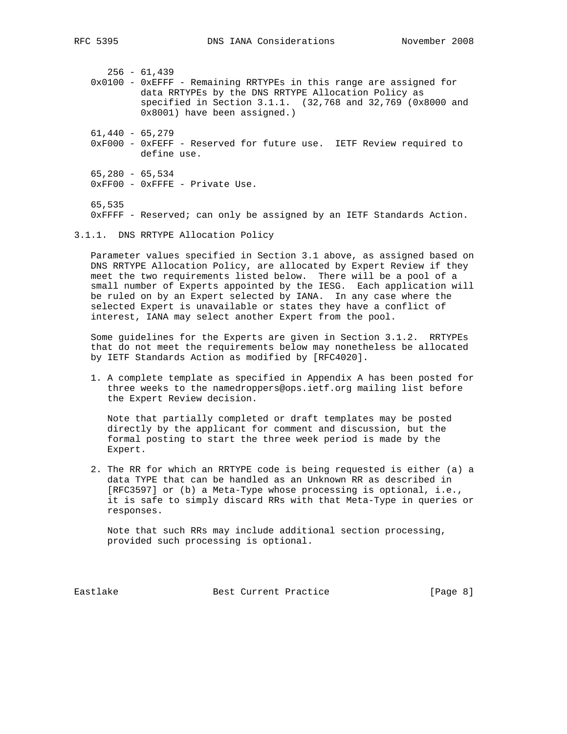256 - 61,439 0x0100 - 0xEFFF - Remaining RRTYPEs in this range are assigned for data RRTYPEs by the DNS RRTYPE Allocation Policy as specified in Section 3.1.1. (32,768 and 32,769 (0x8000 and 0x8001) have been assigned.) 61,440 - 65,279 0xF000 - 0xFEFF - Reserved for future use. IETF Review required to define use. 65,280 - 65,534 0xFF00 - 0xFFFE - Private Use. 65,535 0xFFFF - Reserved; can only be assigned by an IETF Standards Action.

3.1.1. DNS RRTYPE Allocation Policy

 Parameter values specified in Section 3.1 above, as assigned based on DNS RRTYPE Allocation Policy, are allocated by Expert Review if they meet the two requirements listed below. There will be a pool of a small number of Experts appointed by the IESG. Each application will be ruled on by an Expert selected by IANA. In any case where the selected Expert is unavailable or states they have a conflict of interest, IANA may select another Expert from the pool.

 Some guidelines for the Experts are given in Section 3.1.2. RRTYPEs that do not meet the requirements below may nonetheless be allocated by IETF Standards Action as modified by [RFC4020].

 1. A complete template as specified in Appendix A has been posted for three weeks to the namedroppers@ops.ietf.org mailing list before the Expert Review decision.

 Note that partially completed or draft templates may be posted directly by the applicant for comment and discussion, but the formal posting to start the three week period is made by the Expert.

 2. The RR for which an RRTYPE code is being requested is either (a) a data TYPE that can be handled as an Unknown RR as described in [RFC3597] or (b) a Meta-Type whose processing is optional, i.e., it is safe to simply discard RRs with that Meta-Type in queries or responses.

 Note that such RRs may include additional section processing, provided such processing is optional.

Eastlake Best Current Practice East (Page 8)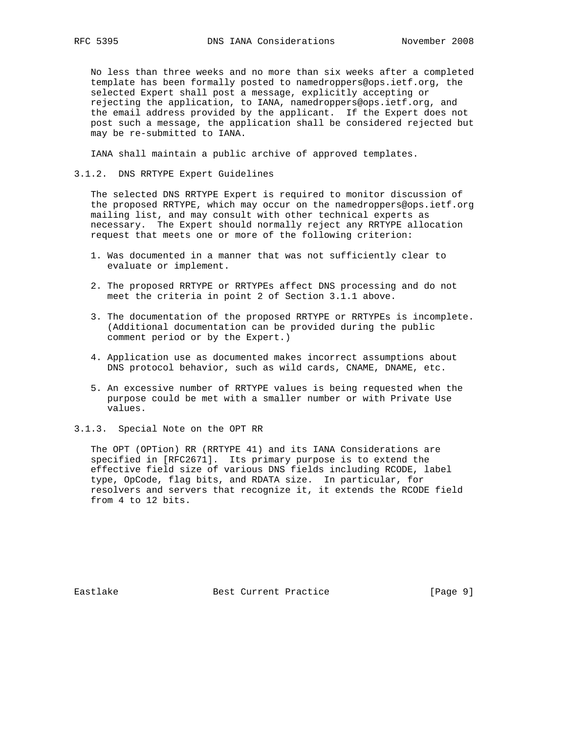No less than three weeks and no more than six weeks after a completed template has been formally posted to namedroppers@ops.ietf.org, the selected Expert shall post a message, explicitly accepting or rejecting the application, to IANA, namedroppers@ops.ietf.org, and the email address provided by the applicant. If the Expert does not post such a message, the application shall be considered rejected but may be re-submitted to IANA.

IANA shall maintain a public archive of approved templates.

### 3.1.2. DNS RRTYPE Expert Guidelines

 The selected DNS RRTYPE Expert is required to monitor discussion of the proposed RRTYPE, which may occur on the namedroppers@ops.ietf.org mailing list, and may consult with other technical experts as necessary. The Expert should normally reject any RRTYPE allocation request that meets one or more of the following criterion:

- 1. Was documented in a manner that was not sufficiently clear to evaluate or implement.
- 2. The proposed RRTYPE or RRTYPEs affect DNS processing and do not meet the criteria in point 2 of Section 3.1.1 above.
- 3. The documentation of the proposed RRTYPE or RRTYPEs is incomplete. (Additional documentation can be provided during the public comment period or by the Expert.)
- 4. Application use as documented makes incorrect assumptions about DNS protocol behavior, such as wild cards, CNAME, DNAME, etc.
- 5. An excessive number of RRTYPE values is being requested when the purpose could be met with a smaller number or with Private Use values.
- 3.1.3. Special Note on the OPT RR

 The OPT (OPTion) RR (RRTYPE 41) and its IANA Considerations are specified in [RFC2671]. Its primary purpose is to extend the effective field size of various DNS fields including RCODE, label type, OpCode, flag bits, and RDATA size. In particular, for resolvers and servers that recognize it, it extends the RCODE field from 4 to 12 bits.

Eastlake Best Current Practice East age 9]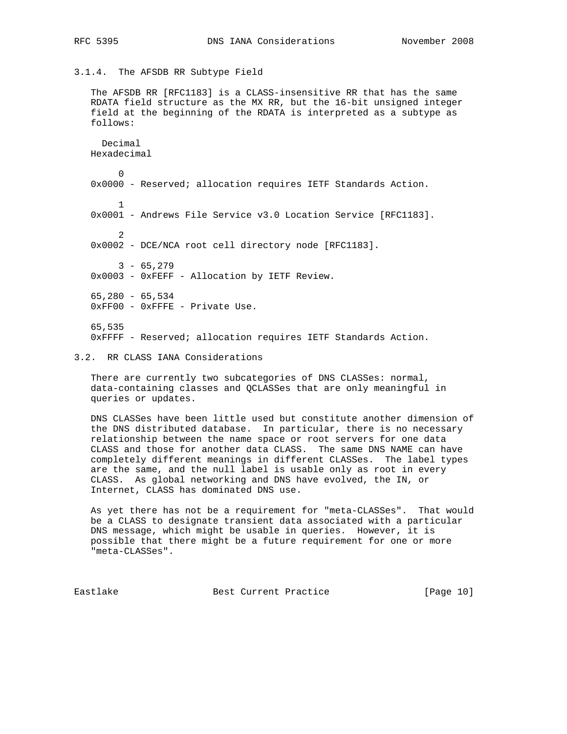3.1.4. The AFSDB RR Subtype Field

 The AFSDB RR [RFC1183] is a CLASS-insensitive RR that has the same RDATA field structure as the MX RR, but the 16-bit unsigned integer field at the beginning of the RDATA is interpreted as a subtype as follows:

 Decimal Hexadecimal  $\Omega$  0x0000 - Reserved; allocation requires IETF Standards Action. 1 0x0001 - Andrews File Service v3.0 Location Service [RFC1183]. 2 0x0002 - DCE/NCA root cell directory node [RFC1183].  $3 - 65,279$  0x0003 - 0xFEFF - Allocation by IETF Review. 65,280 - 65,534 0xFF00 - 0xFFFE - Private Use. 65,535 0xFFFF - Reserved; allocation requires IETF Standards Action.

3.2. RR CLASS IANA Considerations

 There are currently two subcategories of DNS CLASSes: normal, data-containing classes and QCLASSes that are only meaningful in queries or updates.

 DNS CLASSes have been little used but constitute another dimension of the DNS distributed database. In particular, there is no necessary relationship between the name space or root servers for one data CLASS and those for another data CLASS. The same DNS NAME can have completely different meanings in different CLASSes. The label types are the same, and the null label is usable only as root in every CLASS. As global networking and DNS have evolved, the IN, or Internet, CLASS has dominated DNS use.

 As yet there has not be a requirement for "meta-CLASSes". That would be a CLASS to designate transient data associated with a particular DNS message, which might be usable in queries. However, it is possible that there might be a future requirement for one or more "meta-CLASSes".

Eastlake Best Current Practice [Page 10]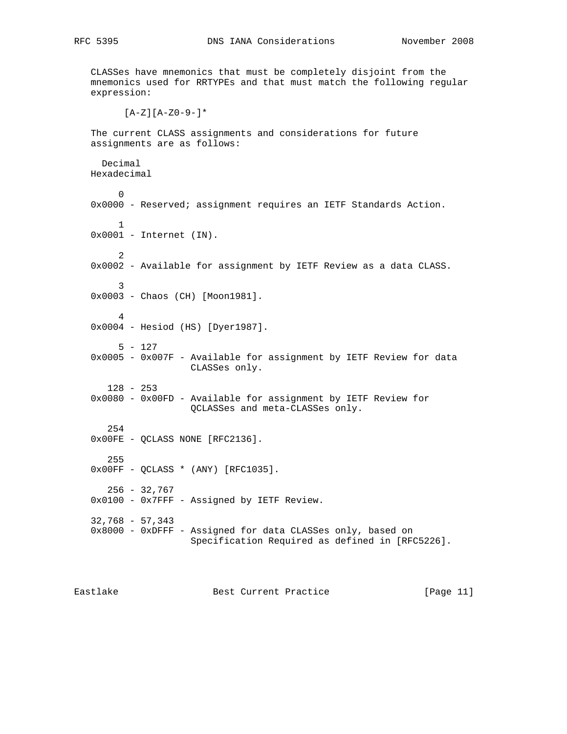CLASSes have mnemonics that must be completely disjoint from the mnemonics used for RRTYPEs and that must match the following regular expression:

 $[A-Z][A-Z0-9-]*$ 

 The current CLASS assignments and considerations for future assignments are as follows:

```
 Decimal
Hexadecimal
```
 0 0x0000 - Reserved; assignment requires an IETF Standards Action. 1 0x0001 - Internet (IN). 2 0x0002 - Available for assignment by IETF Review as a data CLASS. 3 0x0003 - Chaos (CH) [Moon1981]. 4 0x0004 - Hesiod (HS) [Dyer1987]. 5 - 127 0x0005 - 0x007F - Available for assignment by IETF Review for data CLASSes only. 128 - 253 0x0080 - 0x00FD - Available for assignment by IETF Review for QCLASSes and meta-CLASSes only. 254 0x00FE - QCLASS NONE [RFC2136]. 255 0x00FF - QCLASS \* (ANY) [RFC1035]. 256 - 32,767 0x0100 - 0x7FFF - Assigned by IETF Review. 32,768 - 57,343 0x8000 - 0xDFFF - Assigned for data CLASSes only, based on Specification Required as defined in [RFC5226].

Eastlake Best Current Practice [Page 11]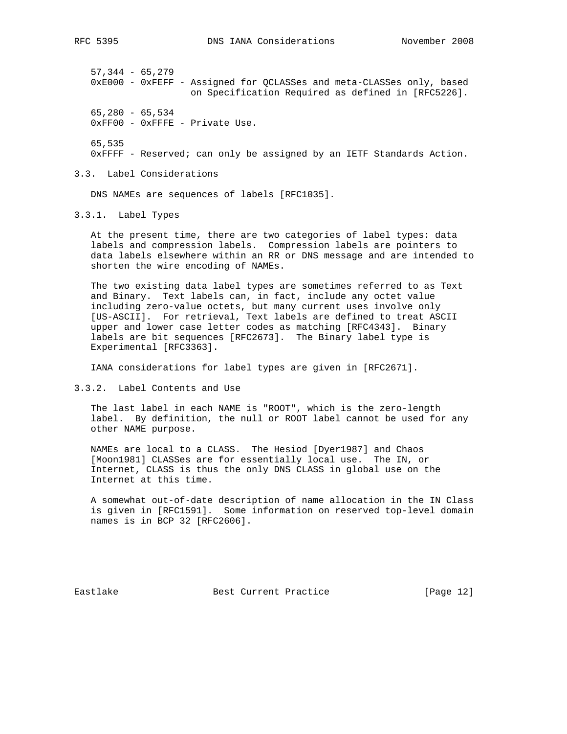57,344 - 65,279 0xE000 - 0xFEFF - Assigned for QCLASSes and meta-CLASSes only, based on Specification Required as defined in [RFC5226]. 65,280 - 65,534 0xFF00 - 0xFFFE - Private Use. 65,535 0xFFFF - Reserved; can only be assigned by an IETF Standards Action.

3.3. Label Considerations

DNS NAMEs are sequences of labels [RFC1035].

3.3.1. Label Types

 At the present time, there are two categories of label types: data labels and compression labels. Compression labels are pointers to data labels elsewhere within an RR or DNS message and are intended to shorten the wire encoding of NAMEs.

 The two existing data label types are sometimes referred to as Text and Binary. Text labels can, in fact, include any octet value including zero-value octets, but many current uses involve only [US-ASCII]. For retrieval, Text labels are defined to treat ASCII upper and lower case letter codes as matching [RFC4343]. Binary labels are bit sequences [RFC2673]. The Binary label type is Experimental [RFC3363].

IANA considerations for label types are given in [RFC2671].

3.3.2. Label Contents and Use

 The last label in each NAME is "ROOT", which is the zero-length label. By definition, the null or ROOT label cannot be used for any other NAME purpose.

 NAMEs are local to a CLASS. The Hesiod [Dyer1987] and Chaos [Moon1981] CLASSes are for essentially local use. The IN, or Internet, CLASS is thus the only DNS CLASS in global use on the Internet at this time.

 A somewhat out-of-date description of name allocation in the IN Class is given in [RFC1591]. Some information on reserved top-level domain names is in BCP 32 [RFC2606].

Eastlake Best Current Practice [Page 12]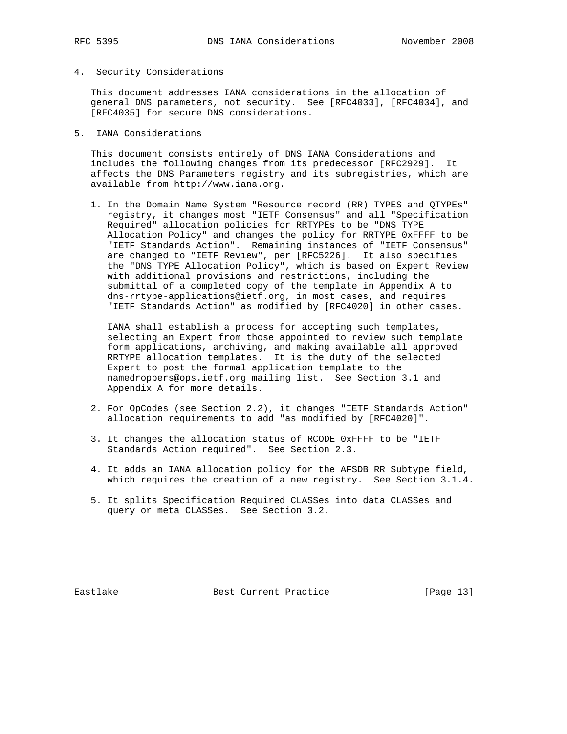### 4. Security Considerations

 This document addresses IANA considerations in the allocation of general DNS parameters, not security. See [RFC4033], [RFC4034], and [RFC4035] for secure DNS considerations.

5. IANA Considerations

 This document consists entirely of DNS IANA Considerations and includes the following changes from its predecessor [RFC2929]. It affects the DNS Parameters registry and its subregistries, which are available from http://www.iana.org.

 1. In the Domain Name System "Resource record (RR) TYPES and QTYPEs" registry, it changes most "IETF Consensus" and all "Specification Required" allocation policies for RRTYPEs to be "DNS TYPE Allocation Policy" and changes the policy for RRTYPE 0xFFFF to be "IETF Standards Action". Remaining instances of "IETF Consensus" are changed to "IETF Review", per [RFC5226]. It also specifies the "DNS TYPE Allocation Policy", which is based on Expert Review with additional provisions and restrictions, including the submittal of a completed copy of the template in Appendix A to dns-rrtype-applications@ietf.org, in most cases, and requires "IETF Standards Action" as modified by [RFC4020] in other cases.

 IANA shall establish a process for accepting such templates, selecting an Expert from those appointed to review such template form applications, archiving, and making available all approved RRTYPE allocation templates. It is the duty of the selected Expert to post the formal application template to the namedroppers@ops.ietf.org mailing list. See Section 3.1 and Appendix A for more details.

- 2. For OpCodes (see Section 2.2), it changes "IETF Standards Action" allocation requirements to add "as modified by [RFC4020]".
- 3. It changes the allocation status of RCODE 0xFFFF to be "IETF Standards Action required". See Section 2.3.
- 4. It adds an IANA allocation policy for the AFSDB RR Subtype field, which requires the creation of a new registry. See Section 3.1.4.
- 5. It splits Specification Required CLASSes into data CLASSes and query or meta CLASSes. See Section 3.2.

Eastlake Best Current Practice [Page 13]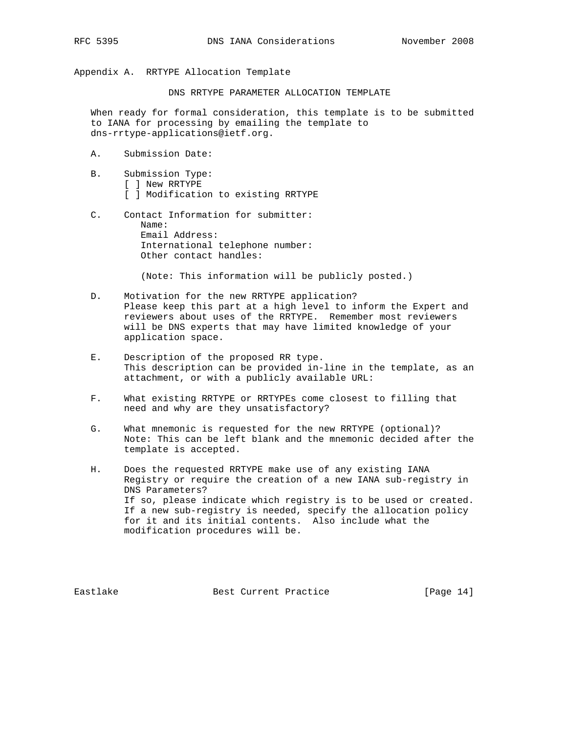Appendix A. RRTYPE Allocation Template

DNS RRTYPE PARAMETER ALLOCATION TEMPLATE

 When ready for formal consideration, this template is to be submitted to IANA for processing by emailing the template to dns-rrtype-applications@ietf.org.

- A. Submission Date:
- B. Submission Type: [ ] New RRTYPE [ ] Modification to existing RRTYPE
- C. Contact Information for submitter: Name: Email Address: International telephone number: Other contact handles:

(Note: This information will be publicly posted.)

- D. Motivation for the new RRTYPE application? Please keep this part at a high level to inform the Expert and reviewers about uses of the RRTYPE. Remember most reviewers will be DNS experts that may have limited knowledge of your application space.
- E. Description of the proposed RR type. This description can be provided in-line in the template, as an attachment, or with a publicly available URL:
- F. What existing RRTYPE or RRTYPEs come closest to filling that need and why are they unsatisfactory?
- G. What mnemonic is requested for the new RRTYPE (optional)? Note: This can be left blank and the mnemonic decided after the template is accepted.
- H. Does the requested RRTYPE make use of any existing IANA Registry or require the creation of a new IANA sub-registry in DNS Parameters? If so, please indicate which registry is to be used or created. If a new sub-registry is needed, specify the allocation policy for it and its initial contents. Also include what the modification procedures will be.

Eastlake Best Current Practice [Page 14]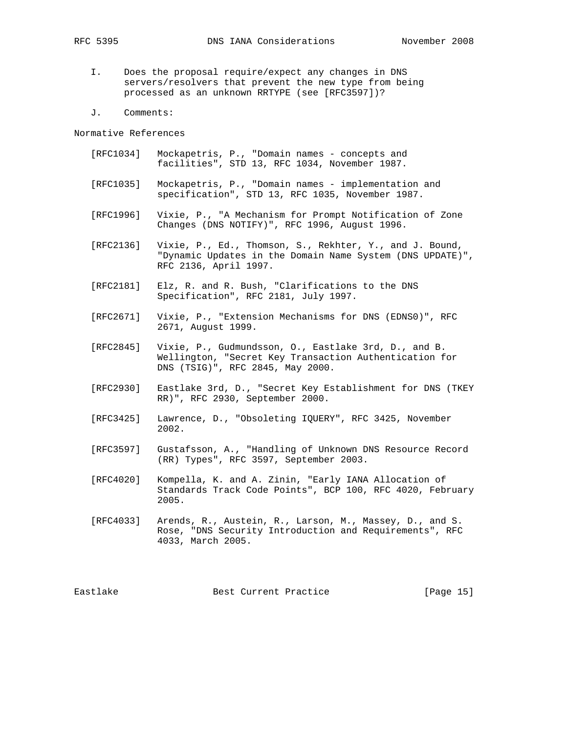- I. Does the proposal require/expect any changes in DNS servers/resolvers that prevent the new type from being processed as an unknown RRTYPE (see [RFC3597])?
- J. Comments:

Normative References

- [RFC1034] Mockapetris, P., "Domain names concepts and facilities", STD 13, RFC 1034, November 1987.
- [RFC1035] Mockapetris, P., "Domain names implementation and specification", STD 13, RFC 1035, November 1987.
- [RFC1996] Vixie, P., "A Mechanism for Prompt Notification of Zone Changes (DNS NOTIFY)", RFC 1996, August 1996.
- [RFC2136] Vixie, P., Ed., Thomson, S., Rekhter, Y., and J. Bound, "Dynamic Updates in the Domain Name System (DNS UPDATE)", RFC 2136, April 1997.
- [RFC2181] Elz, R. and R. Bush, "Clarifications to the DNS Specification", RFC 2181, July 1997.
- [RFC2671] Vixie, P., "Extension Mechanisms for DNS (EDNS0)", RFC 2671, August 1999.
- [RFC2845] Vixie, P., Gudmundsson, O., Eastlake 3rd, D., and B. Wellington, "Secret Key Transaction Authentication for DNS (TSIG)", RFC 2845, May 2000.
- [RFC2930] Eastlake 3rd, D., "Secret Key Establishment for DNS (TKEY RR)", RFC 2930, September 2000.
- [RFC3425] Lawrence, D., "Obsoleting IQUERY", RFC 3425, November 2002.
- [RFC3597] Gustafsson, A., "Handling of Unknown DNS Resource Record (RR) Types", RFC 3597, September 2003.
- [RFC4020] Kompella, K. and A. Zinin, "Early IANA Allocation of Standards Track Code Points", BCP 100, RFC 4020, February 2005.
- [RFC4033] Arends, R., Austein, R., Larson, M., Massey, D., and S. Rose, "DNS Security Introduction and Requirements", RFC 4033, March 2005.

Eastlake Best Current Practice [Page 15]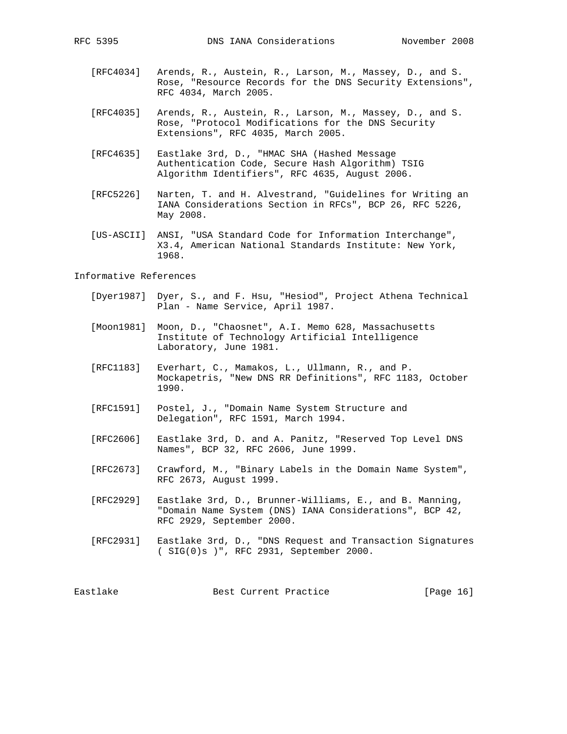- [RFC4034] Arends, R., Austein, R., Larson, M., Massey, D., and S. Rose, "Resource Records for the DNS Security Extensions", RFC 4034, March 2005.
- [RFC4035] Arends, R., Austein, R., Larson, M., Massey, D., and S. Rose, "Protocol Modifications for the DNS Security Extensions", RFC 4035, March 2005.
- [RFC4635] Eastlake 3rd, D., "HMAC SHA (Hashed Message Authentication Code, Secure Hash Algorithm) TSIG Algorithm Identifiers", RFC 4635, August 2006.
- [RFC5226] Narten, T. and H. Alvestrand, "Guidelines for Writing an IANA Considerations Section in RFCs", BCP 26, RFC 5226, May 2008.
- [US-ASCII] ANSI, "USA Standard Code for Information Interchange", X3.4, American National Standards Institute: New York, 1968.

### Informative References

- [Dyer1987] Dyer, S., and F. Hsu, "Hesiod", Project Athena Technical Plan - Name Service, April 1987.
- [Moon1981] Moon, D., "Chaosnet", A.I. Memo 628, Massachusetts Institute of Technology Artificial Intelligence Laboratory, June 1981.
- [RFC1183] Everhart, C., Mamakos, L., Ullmann, R., and P. Mockapetris, "New DNS RR Definitions", RFC 1183, October 1990.
- [RFC1591] Postel, J., "Domain Name System Structure and Delegation", RFC 1591, March 1994.
- [RFC2606] Eastlake 3rd, D. and A. Panitz, "Reserved Top Level DNS Names", BCP 32, RFC 2606, June 1999.
- [RFC2673] Crawford, M., "Binary Labels in the Domain Name System", RFC 2673, August 1999.
- [RFC2929] Eastlake 3rd, D., Brunner-Williams, E., and B. Manning, "Domain Name System (DNS) IANA Considerations", BCP 42, RFC 2929, September 2000.
- [RFC2931] Eastlake 3rd, D., "DNS Request and Transaction Signatures ( SIG(0)s )", RFC 2931, September 2000.

Eastlake Best Current Practice [Page 16]